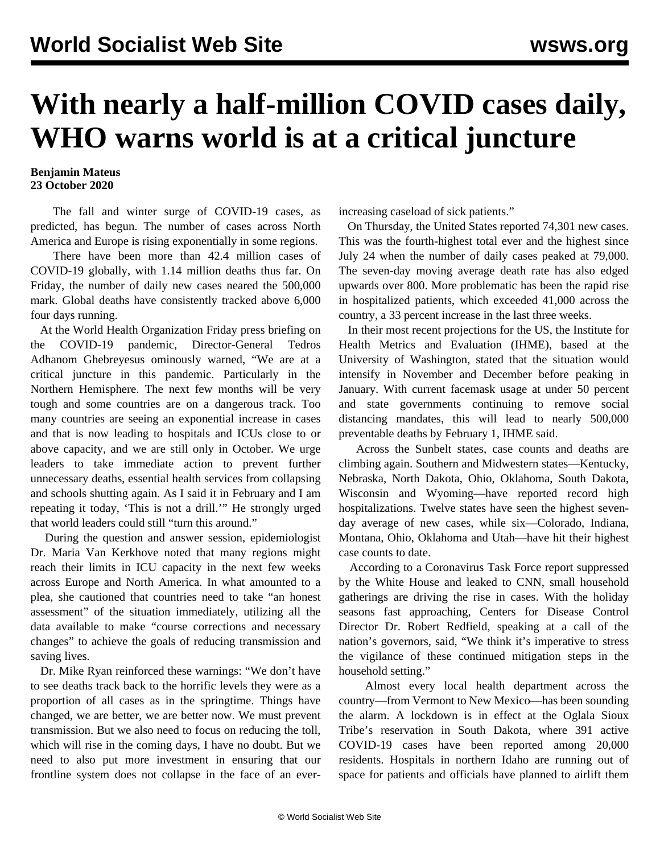## **With nearly a half-million COVID cases daily, WHO warns world is at a critical juncture**

## **Benjamin Mateus 23 October 2020**

 The fall and winter surge of COVID-19 cases, as predicted, has begun. The number of cases across North America and Europe is rising exponentially in some regions.

 There have been more than 42.4 million cases of COVID-19 globally, with 1.14 million deaths thus far. On Friday, the number of daily new cases neared the 500,000 mark. Global deaths have consistently tracked above 6,000 four days running.

 At the World Health Organization Friday press briefing on the COVID-19 pandemic, Director-General Tedros Adhanom Ghebreyesus ominously warned, "We are at a critical juncture in this pandemic. Particularly in the Northern Hemisphere. The next few months will be very tough and some countries are on a dangerous track. Too many countries are seeing an exponential increase in cases and that is now leading to hospitals and ICUs close to or above capacity, and we are still only in October. We urge leaders to take immediate action to prevent further unnecessary deaths, essential health services from collapsing and schools shutting again. As I said it in February and I am repeating it today, 'This is not a drill.'" He strongly urged that world leaders could still "turn this around."

 During the question and answer session, epidemiologist Dr. Maria Van Kerkhove noted that many regions might reach their limits in ICU capacity in the next few weeks across Europe and North America. In what amounted to a plea, she cautioned that countries need to take "an honest assessment" of the situation immediately, utilizing all the data available to make "course corrections and necessary changes" to achieve the goals of reducing transmission and saving lives.

 Dr. Mike Ryan reinforced these warnings: "We don't have to see deaths track back to the horrific levels they were as a proportion of all cases as in the springtime. Things have changed, we are better, we are better now. We must prevent transmission. But we also need to focus on reducing the toll, which will rise in the coming days, I have no doubt. But we need to also put more investment in ensuring that our frontline system does not collapse in the face of an everincreasing caseload of sick patients."

 On Thursday, the United States reported 74,301 new cases. This was the fourth-highest total ever and the highest since July 24 when the number of daily cases peaked at 79,000. The seven-day moving average death rate has also edged upwards over 800. More problematic has been the rapid rise in hospitalized patients, which exceeded 41,000 across the country, a 33 percent increase in the last three weeks.

 In their most recent projections for the US, the Institute for Health Metrics and Evaluation (IHME), based at the University of Washington, stated that the situation would intensify in November and December before peaking in January. With current facemask usage at under 50 percent and state governments continuing to remove social distancing mandates, this will lead to nearly 500,000 preventable deaths by February 1, IHME said.

 Across the Sunbelt states, case counts and deaths are climbing again. Southern and Midwestern states—Kentucky, Nebraska, North Dakota, Ohio, Oklahoma, South Dakota, Wisconsin and Wyoming—have reported record high hospitalizations. Twelve states have seen the highest sevenday average of new cases, while six—Colorado, Indiana, Montana, Ohio, Oklahoma and Utah—have hit their highest case counts to date.

 According to a Coronavirus Task Force report suppressed by the White House and leaked to CNN, small household gatherings are driving the rise in cases. With the holiday seasons fast approaching, Centers for Disease Control Director Dr. Robert Redfield, speaking at a call of the nation's governors, said, "We think it's imperative to stress the vigilance of these continued mitigation steps in the household setting."

 Almost every local health department across the country—from Vermont to New Mexico—has been sounding the alarm. A lockdown is in effect at the Oglala Sioux Tribe's reservation in South Dakota, where 391 active COVID-19 cases have been reported among 20,000 residents. Hospitals in northern Idaho are running out of space for patients and officials have planned to airlift them